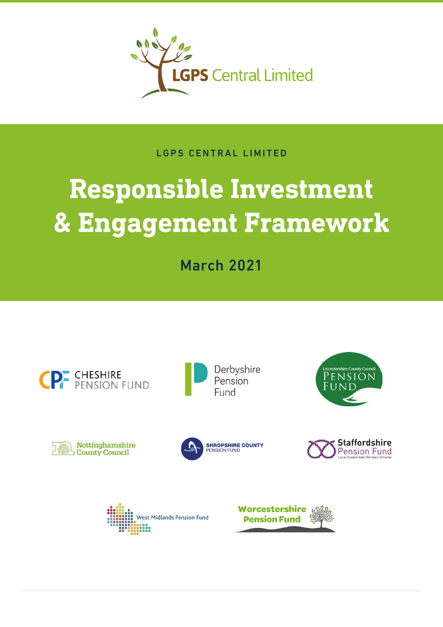

# LGPS CENTRAL LIMITED

# **Responsible Investment & Engagement Framework**

March 2021

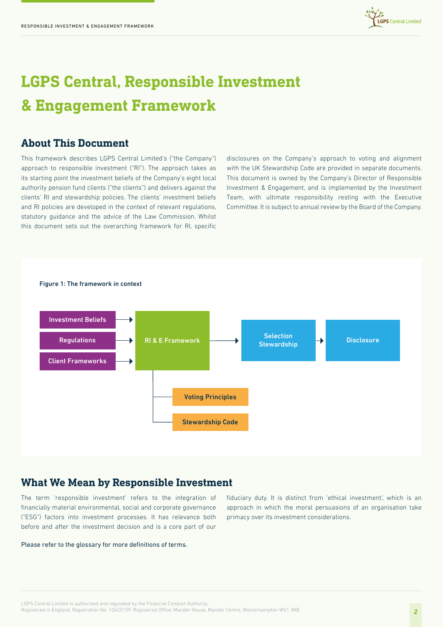

# **LGPS Central, Responsible Investment & Engagement Framework**

# **About This Document**

This framework describes LGPS Central Limited's ("the Company") approach to responsible investment ("RI"). The approach takes as its starting point the investment beliefs of the Company's eight local authority pension fund clients ("the clients") and delivers against the clients' RI and stewardship policies. The clients' investment beliefs and RI policies are developed in the context of relevant regulations, statutory guidance and the advice of the Law Commission. Whilst this document sets out the overarching framework for RI, specific

disclosures on the Company's approach to voting and alignment with the UK Stewardship Code are provided in separate documents. This document is owned by the Company's Director of Responsible Investment & Engagement, and is implemented by the Investment Team, with ultimate responsibility resting with the Executive Committee. It is subject to annual review by the Board of the Company.



## **What We Mean by Responsible Investment**

The term 'responsible investment' refers to the integration of financially material environmental, social and corporate governance ("ESG") factors into investment processes. It has relevance both before and after the investment decision and is a core part of our

Please refer to the glossary for more definitions of terms.

fiduciary duty. It is distinct from 'ethical investment', which is an approach in which the moral persuasions of an organisation take primacy over its investment considerations.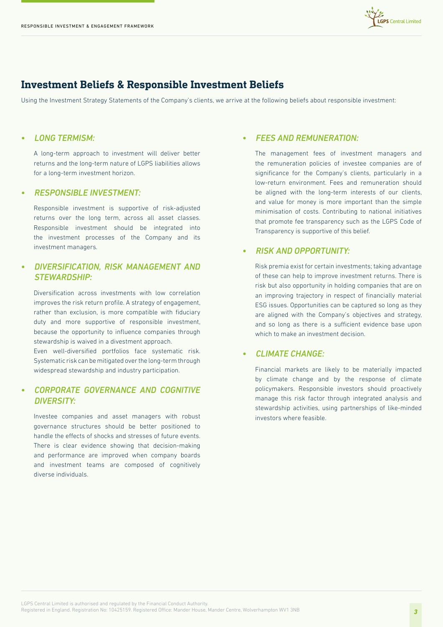

# **Investment Beliefs & Responsible Investment Beliefs**

Using the Investment Strategy Statements of the Company's clients, we arrive at the following beliefs about responsible investment:

#### *• LONG TERMISM:*

A long-term approach to investment will deliver better returns and the long-term nature of LGPS liabilities allows for a long-term investment horizon.

#### *• RESPONSIBLE INVESTMENT:*

Responsible investment is supportive of risk-adjusted returns over the long term, across all asset classes. Responsible investment should be integrated into the investment processes of the Company and its investment managers.

#### *• DIVERSIFICATION, RISK MANAGEMENT AND STEWARDSHIP:*

Diversification across investments with low correlation improves the risk return profile. A strategy of engagement, rather than exclusion, is more compatible with fiduciary duty and more supportive of responsible investment, because the opportunity to influence companies through stewardship is waived in a divestment approach.

Even well-diversified portfolios face systematic risk. Systematic risk can be mitigated over the long-term through widespread stewardship and industry participation.

#### *• CORPORATE GOVERNANCE AND COGNITIVE DIVERSITY:*

Investee companies and asset managers with robust governance structures should be better positioned to handle the effects of shocks and stresses of future events. There is clear evidence showing that decision-making and performance are improved when company boards and investment teams are composed of cognitively diverse individuals.

#### *• FEES AND REMUNERATION:*

The management fees of investment managers and the remuneration policies of investee companies are of significance for the Company's clients, particularly in a low-return environment. Fees and remuneration should be aligned with the long-term interests of our clients, and value for money is more important than the simple minimisation of costs. Contributing to national initiatives that promote fee transparency such as the LGPS Code of Transparency is supportive of this belief.

#### *• RISK AND OPPORTUNITY:*

Risk premia exist for certain investments; taking advantage of these can help to improve investment returns. There is risk but also opportunity in holding companies that are on an improving trajectory in respect of financially material ESG issues. Opportunities can be captured so long as they are aligned with the Company's objectives and strategy, and so long as there is a sufficient evidence base upon which to make an investment decision.

#### *• CLIMATE CHANGE:*

Financial markets are likely to be materially impacted by climate change and by the response of climate policymakers. Responsible investors should proactively manage this risk factor through integrated analysis and stewardship activities, using partnerships of like-minded investors where feasible.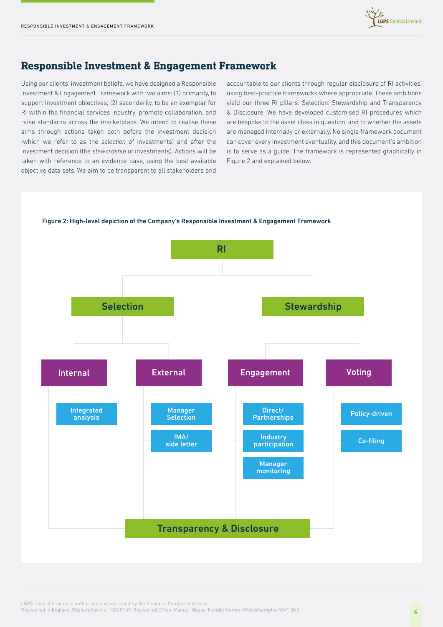

# **Responsible Investment & Engagement Framework**

Using our clients' investment beliefs, we have designed a Responsible Investment & Engagement Framework with two aims: (1) primarily, to support investment objectives; (2) secondarily, to be an exemplar for RI within the financial services industry, promote collaboration, and raise standards across the marketplace. We intend to realise these aims through actions taken both before the investment decision (which we refer to as the *selection* of investments) and after the investment decision (the *stewardship* of investments). Actions will be taken with reference to an evidence base, using the best available objective data sets. We aim to be transparent to all stakeholders and

accountable to our clients through regular disclosure of RI activities, using best-practice frameworks where appropriate. These ambitions yield our three RI pillars: Selection, Stewardship and Transparency & Disclosure. We have developed customised RI procedures which are bespoke to the asset class in question, and to whether the assets are managed internally or externally. No single framework document can cover every investment eventuality, and this document's ambition is to serve as a guide. The framework is represented graphically in Figure 2 and explained below.



LGPS Central Limited is authorised and regulated by the Financial Conduct Authority. Registered in England. Registration No: 10425159. Registered Office: Mander House, Mander Centre, Wolverhampton WV1 3NB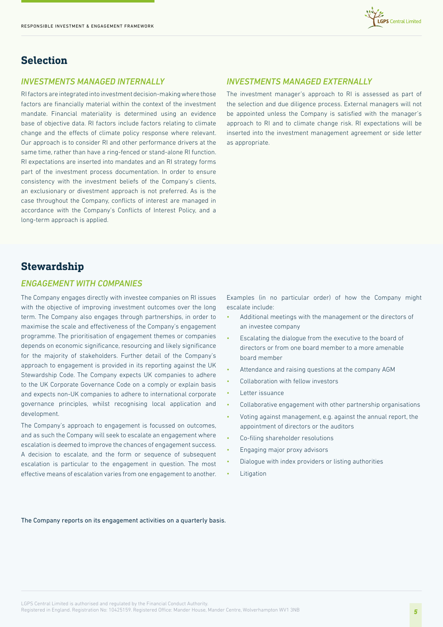# **Selection**

#### *INVESTMENTS MANAGED INTERNALLY*

RI factors are integrated into investment decision-making where those factors are financially material within the context of the investment mandate. Financial materiality is determined using an evidence base of objective data. RI factors include factors relating to climate change and the effects of climate policy response where relevant. Our approach is to consider RI and other performance drivers at the same time, rather than have a ring-fenced or stand-alone RI function. RI expectations are inserted into mandates and an RI strategy forms part of the investment process documentation. In order to ensure consistency with the investment beliefs of the Company's clients, an exclusionary or divestment approach is not preferred. As is the case throughout the Company, conflicts of interest are managed in accordance with the Company's Conflicts of Interest Policy, and a long-term approach is applied.

#### *INVESTMENTS MANAGED EXTERNALLY*

The investment manager's approach to RI is assessed as part of the selection and due diligence process. External managers will not be appointed unless the Company is satisfied with the manager's approach to RI and to climate change risk. RI expectations will be inserted into the investment management agreement or side letter as appropriate.

**Central Limited** 

# **Stewardship**

#### *ENGAGEMENT WITH COMPANIES*

The Company engages directly with investee companies on RI issues with the objective of improving investment outcomes over the long term. The Company also engages through partnerships, in order to maximise the scale and effectiveness of the Company's engagement programme. The prioritisation of engagement themes or companies depends on economic significance, resourcing and likely significance for the majority of stakeholders. Further detail of the Company's approach to engagement is provided in its reporting against the UK Stewardship Code. The Company expects UK companies to adhere to the UK Corporate Governance Code on a comply or explain basis and expects non-UK companies to adhere to international corporate governance principles, whilst recognising local application and development.

The Company's approach to engagement is focussed on outcomes, and as such the Company will seek to escalate an engagement where escalation is deemed to improve the chances of engagement success. A decision to escalate, and the form or sequence of subsequent escalation is particular to the engagement in question. The most effective means of escalation varies from one engagement to another.

Examples (in no particular order) of how the Company might escalate include:

- Additional meetings with the management or the directors of an investee company
- Escalating the dialogue from the executive to the board of directors or from one board member to a more amenable board member
- Attendance and raising questions at the company AGM
- Collaboration with fellow investors
- Letter issuance
- Collaborative engagement with other partnership organisations
- Voting against management, e.g. against the annual report, the appointment of directors or the auditors
- Co-filing shareholder resolutions
- Engaging major proxy advisors
- Dialogue with index providers or listing authorities
- **Litigation**

#### The Company reports on its engagement activities on a quarterly basis.

LGPS Central Limited is authorised and regulated by the Financial Conduct Authority.

Registered in England. Registration No: 10425159. Registered Office: Mander House, Mander Centre, Wolverhampton WV1 3NB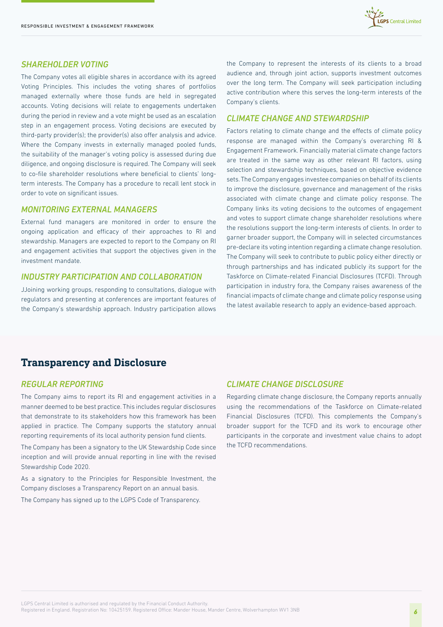

#### *SHAREHOLDER VOTING*

The Company votes all eligible shares in accordance with its agreed Voting Principles. This includes the voting shares of portfolios managed externally where those funds are held in segregated accounts. Voting decisions will relate to engagements undertaken during the period in review and a vote might be used as an escalation step in an engagement process. Voting decisions are executed by third-party provider(s); the provider(s) also offer analysis and advice. Where the Company invests in externally managed pooled funds, the suitability of the manager's voting policy is assessed during due diligence, and ongoing disclosure is required. The Company will seek to co-file shareholder resolutions where beneficial to clients' longterm interests. The Company has a procedure to recall lent stock in order to vote on significant issues.

#### *MONITORING EXTERNAL MANAGERS*

External fund managers are monitored in order to ensure the ongoing application and efficacy of their approaches to RI and stewardship. Managers are expected to report to the Company on RI and engagement activities that support the objectives given in the investment mandate.

#### *INDUSTRY PARTICIPATION AND COLLABORATION*

JJoining working groups, responding to consultations, dialogue with regulators and presenting at conferences are important features of the Company's stewardship approach. Industry participation allows the Company to represent the interests of its clients to a broad audience and, through joint action, supports investment outcomes over the long term. The Company will seek participation including active contribution where this serves the long-term interests of the Company's clients.

#### *CLIMATE CHANGE AND STEWARDSHIP*

Factors relating to climate change and the effects of climate policy response are managed within the Company's overarching RI & Engagement Framework. Financially material climate change factors are treated in the same way as other relevant RI factors, using selection and stewardship techniques, based on objective evidence sets. The Company engages investee companies on behalf of its clients to improve the disclosure, governance and management of the risks associated with climate change and climate policy response. The Company links its voting decisions to the outcomes of engagement and votes to support climate change shareholder resolutions where the resolutions support the long-term interests of clients. In order to garner broader support, the Company will in selected circumstances pre-declare its voting intention regarding a climate change resolution. The Company will seek to contribute to public policy either directly or through partnerships and has indicated publicly its support for the Taskforce on Climate-related Financial Disclosures (TCFD). Through participation in industry fora, the Company raises awareness of the financial impacts of climate change and climate policy response using the latest available research to apply an evidence-based approach.

## **Transparency and Disclosure**

#### *REGULAR REPORTING*

The Company aims to report its RI and engagement activities in a manner deemed to be best practice. This includes regular disclosures that demonstrate to its stakeholders how this framework has been applied in practice. The Company supports the statutory annual reporting requirements of its local authority pension fund clients.

The Company has been a signatory to the UK Stewardship Code since inception and will provide annual reporting in line with the revised Stewardship Code 2020.

As a signatory to the Principles for Responsible Investment, the Company discloses a Transparency Report on an annual basis.

The Company has signed up to the LGPS Code of Transparency.

#### *CLIMATE CHANGE DISCLOSURE*

Regarding climate change disclosure, the Company reports annually using the recommendations of the Taskforce on Climate-related Financial Disclosures (TCFD). This complements the Company's broader support for the TCFD and its work to encourage other participants in the corporate and investment value chains to adopt the TCFD recommendations.